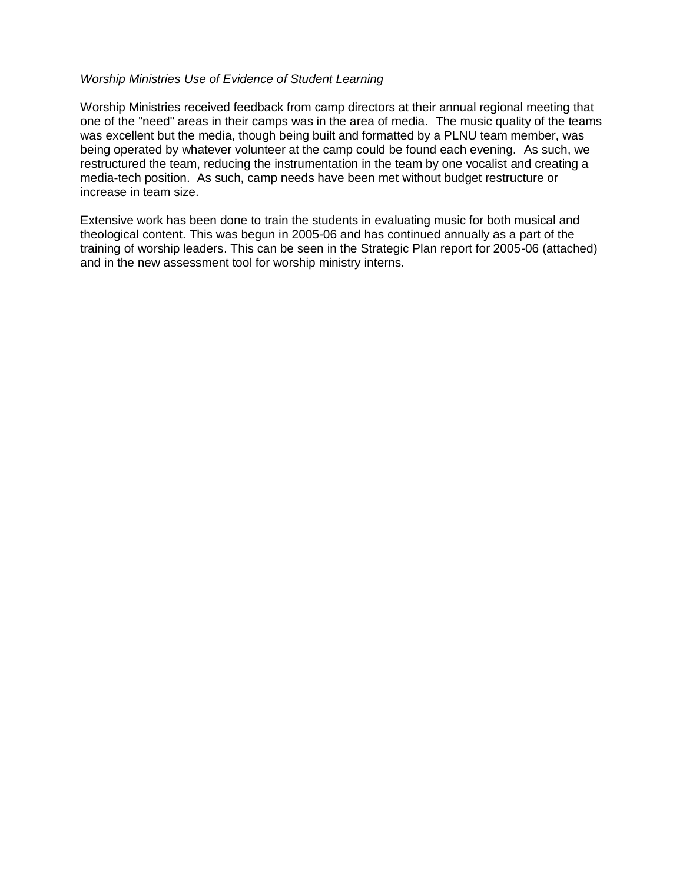## *Worship Ministries Use of Evidence of Student Learning*

Worship Ministries received feedback from camp directors at their annual regional meeting that one of the "need" areas in their camps was in the area of media. The music quality of the teams was excellent but the media, though being built and formatted by a PLNU team member, was being operated by whatever volunteer at the camp could be found each evening. As such, we restructured the team, reducing the instrumentation in the team by one vocalist and creating a media-tech position. As such, camp needs have been met without budget restructure or increase in team size.

Extensive work has been done to train the students in evaluating music for both musical and theological content. This was begun in 2005-06 and has continued annually as a part of the training of worship leaders. This can be seen in the Strategic Plan report for 2005-06 (attached) and in the new assessment tool for worship ministry interns.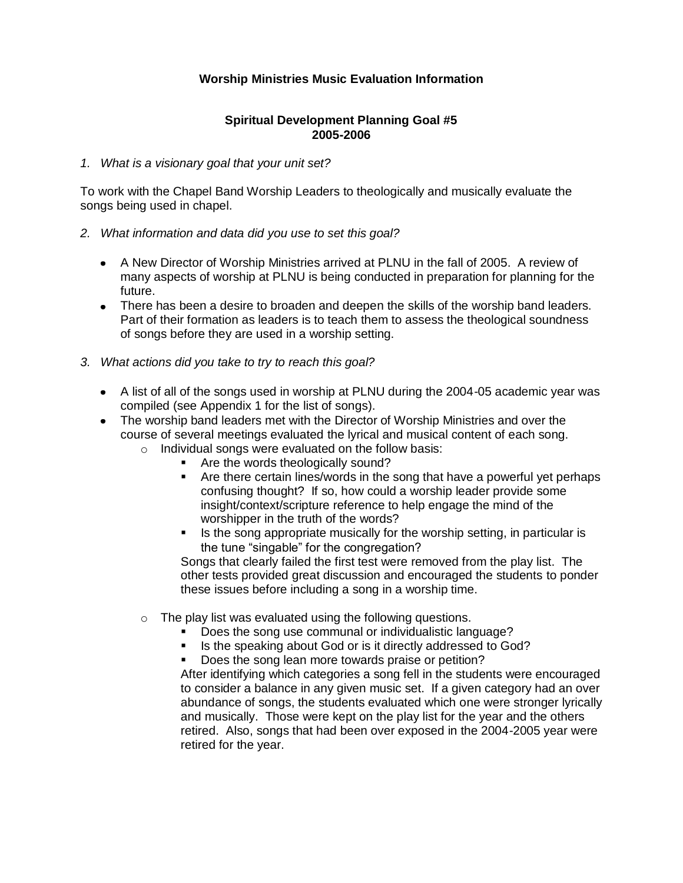## **Worship Ministries Music Evaluation Information**

## **Spiritual Development Planning Goal #5 2005-2006**

### *1. What is a visionary goal that your unit set?*

To work with the Chapel Band Worship Leaders to theologically and musically evaluate the songs being used in chapel.

- *2. What information and data did you use to set this goal?* 
	- A New Director of Worship Ministries arrived at PLNU in the fall of 2005. A review of many aspects of worship at PLNU is being conducted in preparation for planning for the future.
	- There has been a desire to broaden and deepen the skills of the worship band leaders. Part of their formation as leaders is to teach them to assess the theological soundness of songs before they are used in a worship setting.
- *3. What actions did you take to try to reach this goal?*
	- A list of all of the songs used in worship at PLNU during the 2004-05 academic year was compiled (see Appendix 1 for the list of songs).
	- The worship band leaders met with the Director of Worship Ministries and over the course of several meetings evaluated the lyrical and musical content of each song.
		- o Individual songs were evaluated on the follow basis:
			- Are the words theologically sound?
			- Are there certain lines/words in the song that have a powerful yet perhaps confusing thought? If so, how could a worship leader provide some insight/context/scripture reference to help engage the mind of the worshipper in the truth of the words?
			- Is the song appropriate musically for the worship setting, in particular is the tune "singable" for the congregation?

Songs that clearly failed the first test were removed from the play list. The other tests provided great discussion and encouraged the students to ponder these issues before including a song in a worship time.

- o The play list was evaluated using the following questions.
	- Does the song use communal or individualistic language?
	- Is the speaking about God or is it directly addressed to God?
	- Does the song lean more towards praise or petition?

After identifying which categories a song fell in the students were encouraged to consider a balance in any given music set. If a given category had an over abundance of songs, the students evaluated which one were stronger lyrically and musically. Those were kept on the play list for the year and the others retired. Also, songs that had been over exposed in the 2004-2005 year were retired for the year.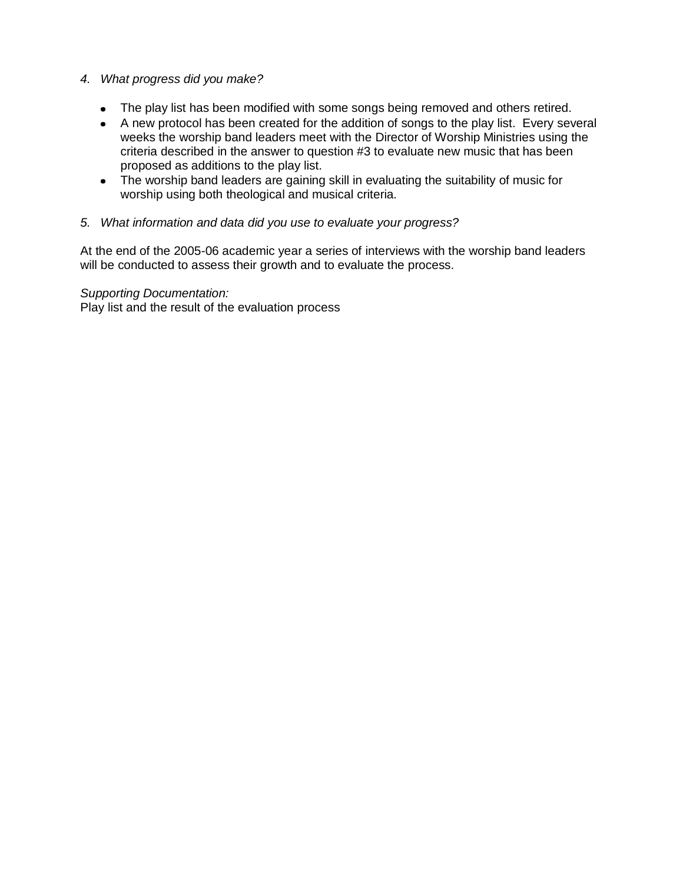## *4. What progress did you make?*

- The play list has been modified with some songs being removed and others retired.
- A new protocol has been created for the addition of songs to the play list. Every several weeks the worship band leaders meet with the Director of Worship Ministries using the criteria described in the answer to question #3 to evaluate new music that has been proposed as additions to the play list.
- The worship band leaders are gaining skill in evaluating the suitability of music for worship using both theological and musical criteria.

## *5. What information and data did you use to evaluate your progress?*

At the end of the 2005-06 academic year a series of interviews with the worship band leaders will be conducted to assess their growth and to evaluate the process.

*Supporting Documentation:*

Play list and the result of the evaluation process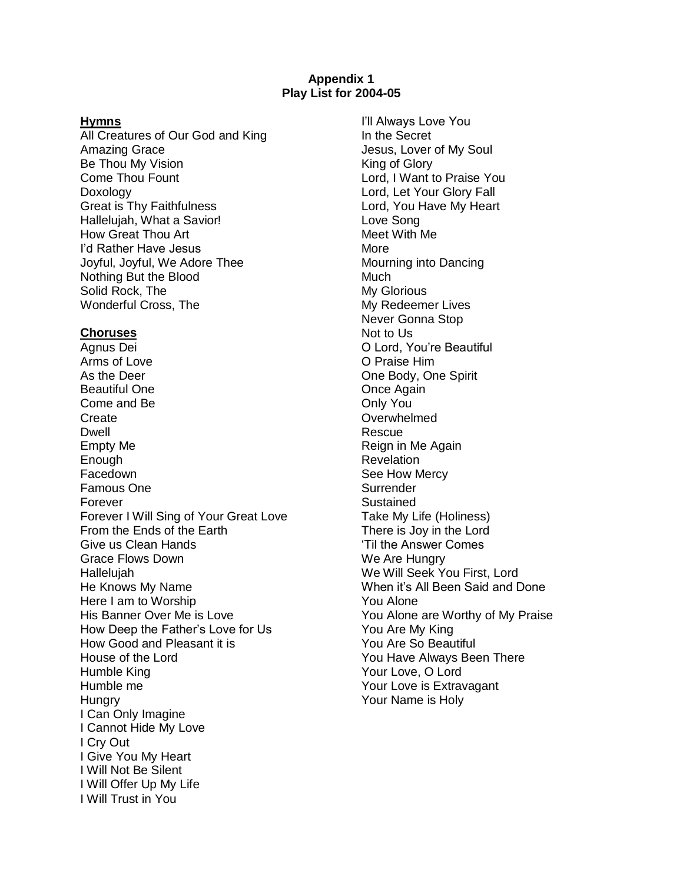### **Appendix 1 Play List for 2004-05**

#### **Hymns**

All Creatures of Our God and King Amazing Grace Be Thou My Vision Come Thou Fount Doxology Great is Thy Faithfulness Hallelujah, What a Savior! How Great Thou Art I'd Rather Have Jesus Joyful, Joyful, We Adore Thee Nothing But the Blood Solid Rock, The Wonderful Cross, The

#### **Choruses**

Agnus Dei Arms of Love As the Deer Beautiful One Come and Be **Create** Dwell Empty Me Enough **Facedown** Famous One Forever Forever I Will Sing of Your Great Love From the Ends of the Earth Give us Clean Hands Grace Flows Down Hallelujah He Knows My Name Here I am to Worship His Banner Over Me is Love How Deep the Father's Love for Us How Good and Pleasant it is House of the Lord Humble King Humble me **Hungry** I Can Only Imagine I Cannot Hide My Love I Cry Out I Give You My Heart I Will Not Be Silent I Will Offer Up My Life I Will Trust in You

I'll Always Love You In the Secret Jesus, Lover of My Soul King of Glory Lord, I Want to Praise You Lord, Let Your Glory Fall Lord, You Have My Heart Love Song Meet With Me More Mourning into Dancing **Much** My Glorious My Redeemer Lives Never Gonna Stop Not to Us O Lord, You're Beautiful O Praise Him One Body, One Spirit Once Again Only You **Overwhelmed** Rescue Reign in Me Again **Revelation** See How Mercy **Surrender Sustained** Take My Life (Holiness) There is Joy in the Lord 'Til the Answer Comes We Are Hungry We Will Seek You First, Lord When it's All Been Said and Done You Alone You Alone are Worthy of My Praise You Are My King You Are So Beautiful You Have Always Been There Your Love, O Lord Your Love is Extravagant Your Name is Holy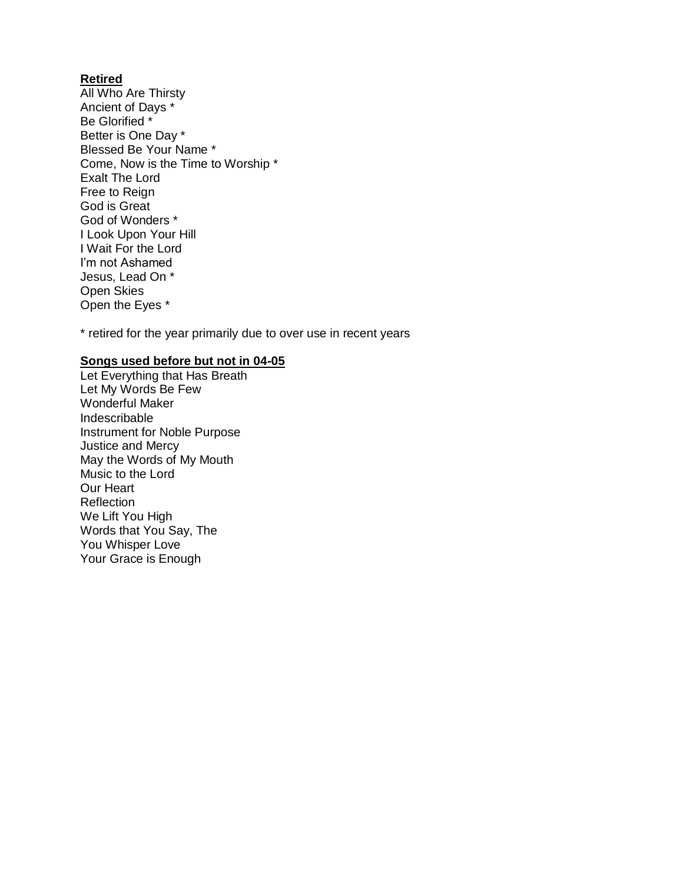## **Retired**

All Who Are Thirsty Ancient of Days \* Be Glorified \* Better is One Day \* Blessed Be Your Name \* Come, Now is the Time to Worship \* Exalt The Lord Free to Reign God is Great God of Wonders \* I Look Upon Your Hill I Wait For the Lord I'm not Ashamed Jesus, Lead On \* Open Skies Open the Eyes \*

\* retired for the year primarily due to over use in recent years

## **Songs used before but not in 04-05**

Let Everything that Has Breath Let My Words Be Few Wonderful Maker Indescribable Instrument for Noble Purpose Justice and Mercy May the Words of My Mouth Music to the Lord Our Heart Reflection We Lift You High Words that You Say, The You Whisper Love Your Grace is Enough